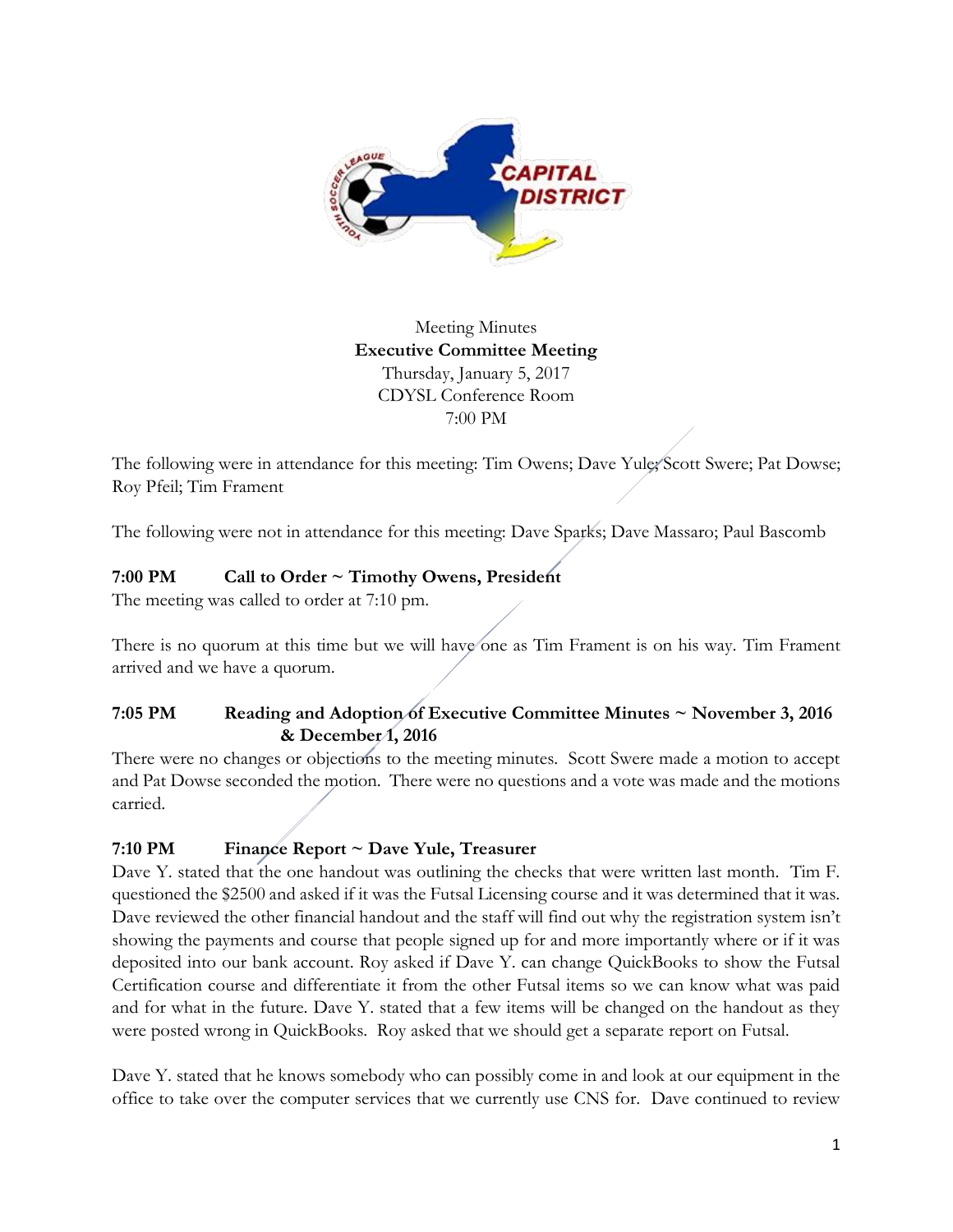

Meeting Minutes **Executive Committee Meeting**  Thursday, January 5, 2017 CDYSL Conference Room 7:00 PM

The following were in attendance for this meeting: Tim Owens; Dave Yule; Scott Swere; Pat Dowse; Roy Pfeil; Tim Frament

The following were not in attendance for this meeting: Dave Sparks; Dave Massaro; Paul Bascomb

# **7:00 PM Call to Order ~ Timothy Owens, President**

The meeting was called to order at 7:10 pm.

There is no quorum at this time but we will have one as Tim Frament is on his way. Tim Frament arrived and we have a quorum.

# **7:05 PM Reading and Adoption of Executive Committee Minutes ~ November 3, 2016 & December 1, 2016**

There were no changes or objections to the meeting minutes. Scott Swere made a motion to accept and Pat Dowse seconded the motion. There were no questions and a vote was made and the motions carried.

# **7:10 PM Finance Report ~ Dave Yule, Treasurer**

Dave Y. stated that the one handout was outlining the checks that were written last month. Tim F. questioned the \$2500 and asked if it was the Futsal Licensing course and it was determined that it was. Dave reviewed the other financial handout and the staff will find out why the registration system isn't showing the payments and course that people signed up for and more importantly where or if it was deposited into our bank account. Roy asked if Dave Y. can change QuickBooks to show the Futsal Certification course and differentiate it from the other Futsal items so we can know what was paid and for what in the future. Dave Y. stated that a few items will be changed on the handout as they were posted wrong in QuickBooks. Roy asked that we should get a separate report on Futsal.

Dave Y. stated that he knows somebody who can possibly come in and look at our equipment in the office to take over the computer services that we currently use CNS for. Dave continued to review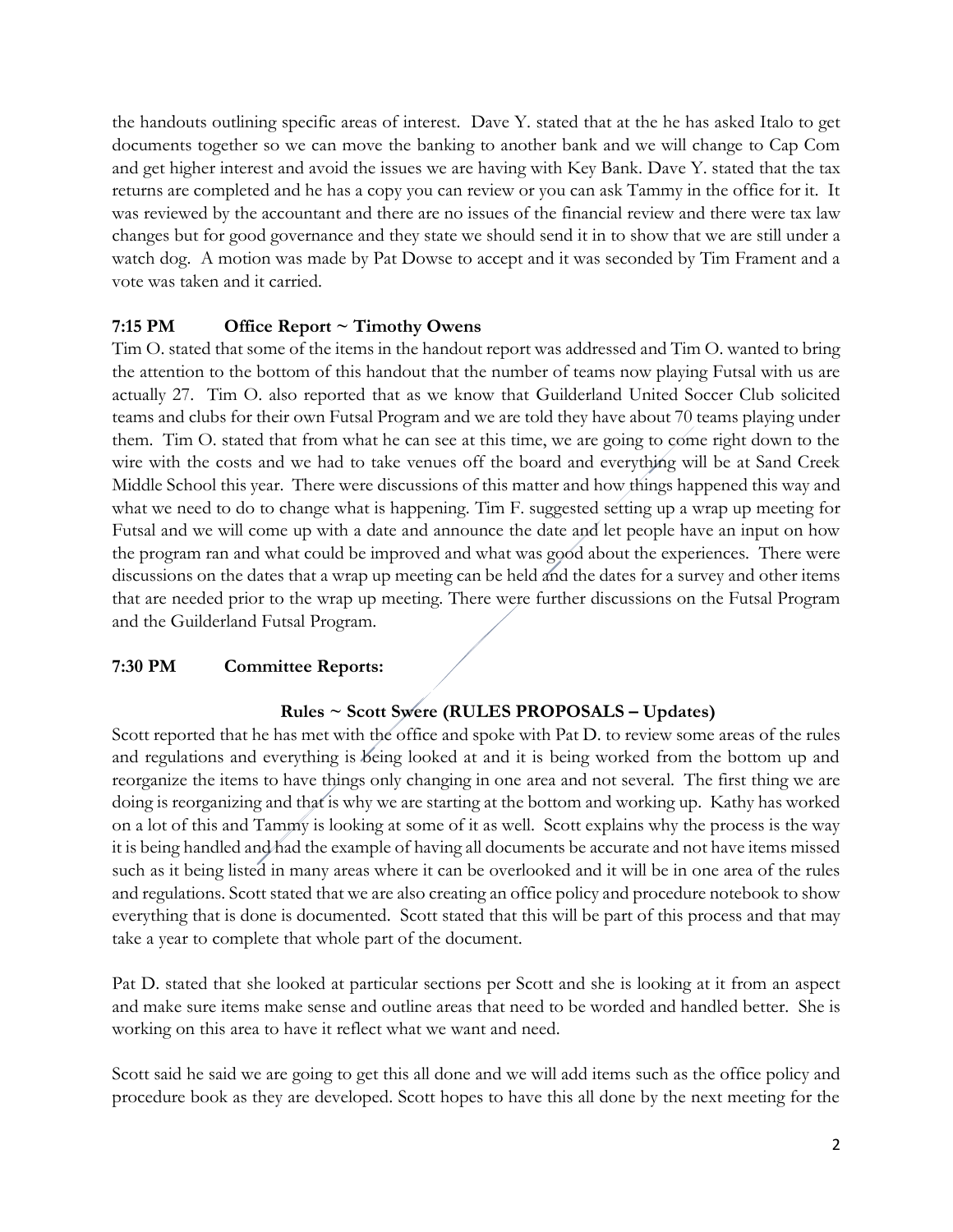the handouts outlining specific areas of interest. Dave Y. stated that at the he has asked Italo to get documents together so we can move the banking to another bank and we will change to Cap Com and get higher interest and avoid the issues we are having with Key Bank. Dave Y. stated that the tax returns are completed and he has a copy you can review or you can ask Tammy in the office for it. It was reviewed by the accountant and there are no issues of the financial review and there were tax law changes but for good governance and they state we should send it in to show that we are still under a watch dog. A motion was made by Pat Dowse to accept and it was seconded by Tim Frament and a vote was taken and it carried.

# **7:15 PM Office Report ~ Timothy Owens**

Tim O. stated that some of the items in the handout report was addressed and Tim O. wanted to bring the attention to the bottom of this handout that the number of teams now playing Futsal with us are actually 27. Tim O. also reported that as we know that Guilderland United Soccer Club solicited teams and clubs for their own Futsal Program and we are told they have about 70 teams playing under them. Tim O. stated that from what he can see at this time, we are going to come right down to the wire with the costs and we had to take venues off the board and everything will be at Sand Creek Middle School this year. There were discussions of this matter and how things happened this way and what we need to do to change what is happening. Tim F. suggested setting up a wrap up meeting for Futsal and we will come up with a date and announce the date and let people have an input on how the program ran and what could be improved and what was good about the experiences. There were discussions on the dates that a wrap up meeting can be held and the dates for a survey and other items that are needed prior to the wrap up meeting. There were further discussions on the Futsal Program and the Guilderland Futsal Program.

## **7:30 PM Committee Reports:**

# **Rules ~ Scott Swere (RULES PROPOSALS – Updates)**

Scott reported that he has met with the office and spoke with Pat D. to review some areas of the rules and regulations and everything is being looked at and it is being worked from the bottom up and reorganize the items to have things only changing in one area and not several. The first thing we are doing is reorganizing and that is why we are starting at the bottom and working up. Kathy has worked on a lot of this and Tammy is looking at some of it as well. Scott explains why the process is the way it is being handled and had the example of having all documents be accurate and not have items missed such as it being listed in many areas where it can be overlooked and it will be in one area of the rules and regulations. Scott stated that we are also creating an office policy and procedure notebook to show everything that is done is documented. Scott stated that this will be part of this process and that may take a year to complete that whole part of the document.

Pat D. stated that she looked at particular sections per Scott and she is looking at it from an aspect and make sure items make sense and outline areas that need to be worded and handled better. She is working on this area to have it reflect what we want and need.

Scott said he said we are going to get this all done and we will add items such as the office policy and procedure book as they are developed. Scott hopes to have this all done by the next meeting for the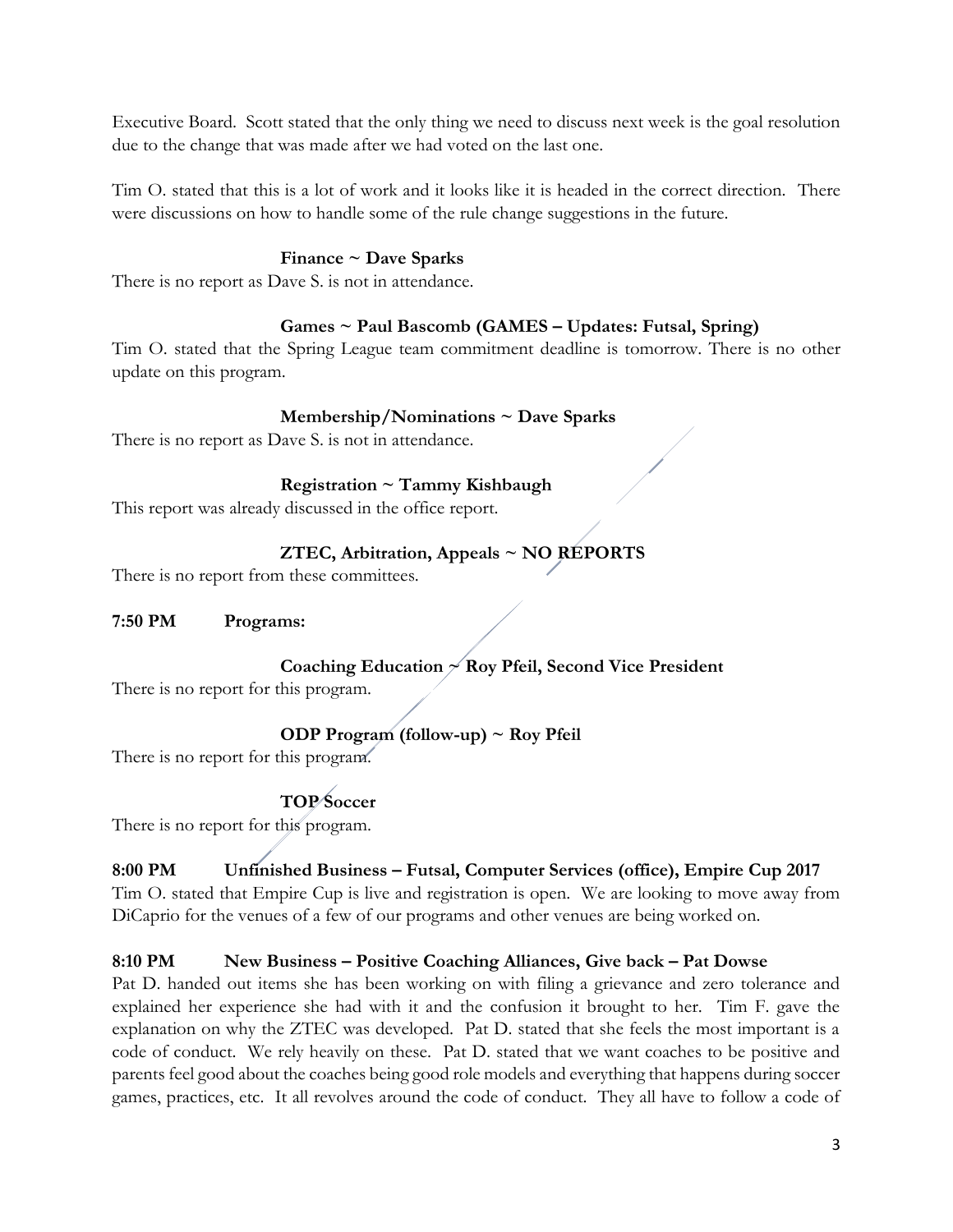Executive Board. Scott stated that the only thing we need to discuss next week is the goal resolution due to the change that was made after we had voted on the last one.

Tim O. stated that this is a lot of work and it looks like it is headed in the correct direction. There were discussions on how to handle some of the rule change suggestions in the future.

## **Finance ~ Dave Sparks**

There is no report as Dave S. is not in attendance.

## **Games ~ Paul Bascomb (GAMES – Updates: Futsal, Spring)**

Tim O. stated that the Spring League team commitment deadline is tomorrow. There is no other update on this program.

## **Membership/Nominations ~ Dave Sparks**

There is no report as Dave S. is not in attendance.

## **Registration ~ Tammy Kishbaugh**

This report was already discussed in the office report.

## **ZTEC, Arbitration, Appeals ~ NO REPORTS**

There is no report from these committees.

## **7:50 PM Programs:**

## **Coaching Education ~ Roy Pfeil, Second Vice President**

There is no report for this program.

## **ODP Program (follow-up) ~ Roy Pfeil**

There is no report for this program.

# **TOP Soccer**

There is no report for this program.

# **8:00 PM Unfinished Business – Futsal, Computer Services (office), Empire Cup 2017**

Tim O. stated that Empire Cup is live and registration is open. We are looking to move away from DiCaprio for the venues of a few of our programs and other venues are being worked on.

## **8:10 PM New Business – Positive Coaching Alliances, Give back – Pat Dowse**

Pat D. handed out items she has been working on with filing a grievance and zero tolerance and explained her experience she had with it and the confusion it brought to her. Tim F. gave the explanation on why the ZTEC was developed. Pat D. stated that she feels the most important is a code of conduct. We rely heavily on these. Pat D. stated that we want coaches to be positive and parents feel good about the coaches being good role models and everything that happens during soccer games, practices, etc. It all revolves around the code of conduct. They all have to follow a code of